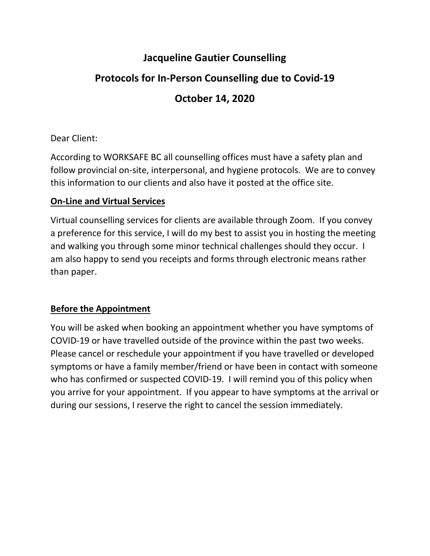## **Jacqueline Gautier Counselling**

# **Protocols for In-Person Counselling due to Covid-19**

## **October 14, 2020**

### Dear Client:

According to WORKSAFE BC all counselling offices must have a safety plan and follow provincial on-site, interpersonal, and hygiene protocols. We are to convey this information to our clients and also have it posted at the office site.

#### **On-Line and Virtual Services**

Virtual counselling services for clients are available through Zoom. If you convey a preference for this service, I will do my best to assist you in hosting the meeting and walking you through some minor technical challenges should they occur. I am also happy to send you receipts and forms through electronic means rather than paper.

### **Before the Appointment**

You will be asked when booking an appointment whether you have symptoms of COVID-19 or have travelled outside of the province within the past two weeks. Please cancel or reschedule your appointment if you have travelled or developed symptoms or have a family member/friend or have been in contact with someone who has confirmed or suspected COVID-19. I will remind you of this policy when you arrive for your appointment. If you appear to have symptoms at the arrival or during our sessions, I reserve the right to cancel the session immediately.